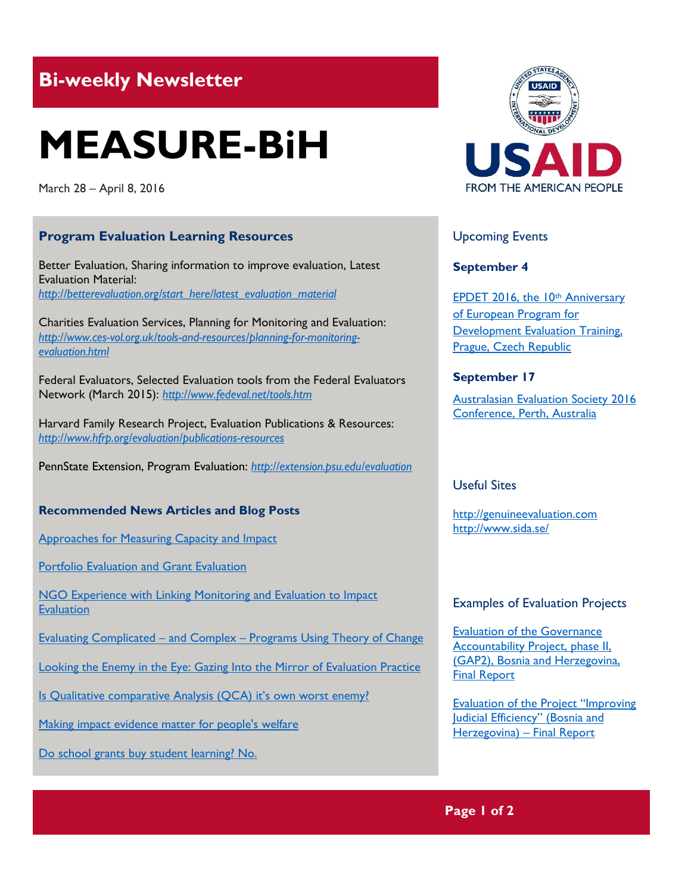# **Bi-weekly Newsletter**

# **MEASURE-BiH**

March 28 – April 8, 2016

# **Program Evaluation Learning Resources**

Better Evaluation, Sharing information to improve evaluation, Latest Evaluation Material: *[http://betterevaluation.org/start\\_here/latest\\_evaluation\\_material](http://betterevaluation.org/start_here/latest_evaluation_material)*

Charities Evaluation Services, Planning for Monitoring and Evaluation: *[http://www.ces-vol.org.uk/tools-and-resources/planning-for-monitoring](http://www.ces-vol.org.uk/tools-and-resources/planning-for-monitoring-evaluation.html)[evaluation.html](http://www.ces-vol.org.uk/tools-and-resources/planning-for-monitoring-evaluation.html)*

Federal Evaluators, Selected Evaluation tools from the Federal Evaluators Network (March 2015): *<http://www.fedeval.net/tools.htm>*

Harvard Family Research Project, Evaluation Publications & Resources: *<http://www.hfrp.org/evaluation/publications-resources>*

PennState Extension, Program Evaluation: *<http://extension.psu.edu/evaluation>*

## **Recommended News Articles and Blog Posts**

[Approaches for Measuring Capacity and Impact](http://aea365.org/blog/veena-pankaj-and-kat-athanasiades-on-coalition-assessment-approaches-for-measuring-capacity-and-impact/)

[Portfolio Evaluation and Grant Evaluation](https://youtu.be/jNp0igESrs4)

[NGO Experience with Linking Monitoring and Evaluation to Impact](https://www.youtube.com/watch?v=ZkVH-uJbRjo&list=PLo2O59fMgSn1gLky_-5puuwyo2CXt-_-r&index=11)  **[Evaluation](https://www.youtube.com/watch?v=ZkVH-uJbRjo&list=PLo2O59fMgSn1gLky_-5puuwyo2CXt-_-r&index=11)** 

Evaluating Complicated – and Complex – [Programs Using Theory of Change](http://www.hfrp.org/evaluation/the-evaluation-exchange/issue-archive/evaluation-methodology/evaluating-complicated-and-complex-programs-using-theory-of-change)

[Looking the Enemy in the Eye: Gazing Into the Mirror of Evaluation Practice](http://www.hfrp.org/evaluation/the-evaluation-exchange/issue-archive/reflecting-on-the-past-and-future-of-evaluation/looking-the-enemy-in-the-eye-gazing-into-the-mirror-of-evaluation-practice)

[Is Qualitative comparative Analysis \(QCA\) it's own worst enemy?](http://mandenews.blogspot.ba/2015/06/is-qca-its-own-worst-enemy.html)

[Making impact evidence matter for people's welfare](http://blogs.3ieimpact.org/making-impact-evidence-matter-for-peoples-welfare/)

[Do school grants buy student learning? No.](http://blogs.worldbank.org/impactevaluations/do-school-grants-buy-student-learning-no)



# Upcoming Events

**September 4**

[EPDET 2016, the 10](http://www.europeanevaluation.org/sites/default/files/events/Invitation%20EPDET%202016.pdf)th Anniversary [of European Program for](http://www.europeanevaluation.org/sites/default/files/events/Invitation%20EPDET%202016.pdf)  [Development Evaluation Training,](http://www.europeanevaluation.org/sites/default/files/events/Invitation%20EPDET%202016.pdf)  [Prague, Czech Republic](http://www.europeanevaluation.org/sites/default/files/events/Invitation%20EPDET%202016.pdf)

# **September 17**

[Australasian Evaluation Society 2016](http://mande.co.uk/conferences/?event_id1=24)  [Conference, Perth, Australia](http://mande.co.uk/conferences/?event_id1=24)

# Useful Sites

[http://genuineevaluation.com](http://genuineevaluation.com/) <http://www.sida.se/>

## Examples of Evaluation Projects

[Evaluation of the Governance](http://www.sida.se/contentassets/d77e75f7cec84ae19d1fe1ec9eceb8c6/437ff921-210e-4663-ae9b-ae8074025c12.pdf)  [Accountability Project, phase II,](http://www.sida.se/contentassets/d77e75f7cec84ae19d1fe1ec9eceb8c6/437ff921-210e-4663-ae9b-ae8074025c12.pdf)  [\(GAP2\), Bosnia and Herzegovina,](http://www.sida.se/contentassets/d77e75f7cec84ae19d1fe1ec9eceb8c6/437ff921-210e-4663-ae9b-ae8074025c12.pdf)  [Final Report](http://www.sida.se/contentassets/d77e75f7cec84ae19d1fe1ec9eceb8c6/437ff921-210e-4663-ae9b-ae8074025c12.pdf)

[Evaluation of the Project "Improving](http://www.sida.se/English/publications/Publication_database/publications-by-year1/2015/october/evaluation-of-the-project-improving-judicial-efficiency-bosnia-and-herzegovina---final-report/)  Judicial Efficiency" (Bosnia and [Herzegovina\)](http://www.sida.se/English/publications/Publication_database/publications-by-year1/2015/october/evaluation-of-the-project-improving-judicial-efficiency-bosnia-and-herzegovina---final-report/) – Final Report

**Page 1 of 2**